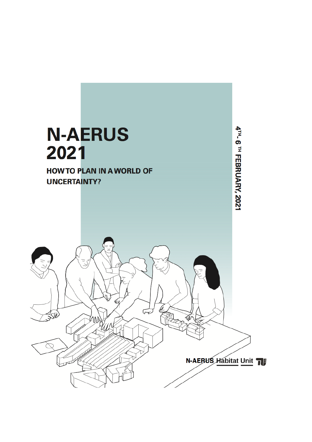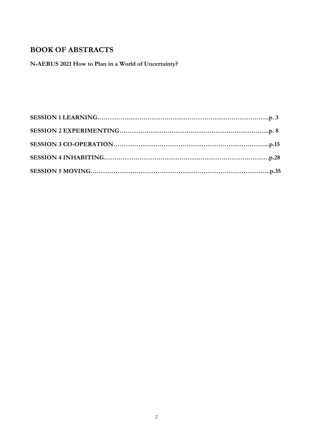# **BOOK OF ABSTRACTS**

**N-AERUS 2021 How to Plan in a World of Uncertainty?**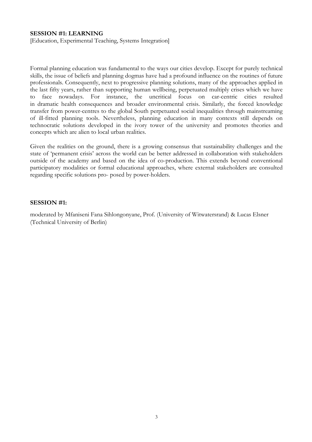### **SESSION #1: LEARNING**

[Education, Experimental Teaching, Systems Integration]

Formal planning education was fundamental to the ways our cities develop. Except for purely technical skills, the issue of beliefs and planning dogmas have had a profound influence on the routines of future professionals. Consequently, next to progressive planning solutions, many of the approaches applied in the last fifty years, rather than supporting human wellbeing, perpetuated multiply crises which we have to face nowadays. For instance, the uncritical focus on car-centric cities resulted in dramatic health consequences and broader environmental crisis. Similarly, the forced knowledge transfer from power-centres to the global South perpetuated social inequalities through mainstreaming of ill-fitted planning tools. Nevertheless, planning education in many contexts still depends on technocratic solutions developed in the ivory tower of the university and promotes theories and concepts which are alien to local urban realities.

Given the realities on the ground, there is a growing consensus that sustainability challenges and the state of 'permanent crisis' across the world can be better addressed in collaboration with stakeholders outside of the academy and based on the idea of co-production. This extends beyond conventional participatory modalities or formal educational approaches, where external stakeholders are consulted regarding specific solutions pro- posed by power-holders.

#### **SESSION #1:**

moderated by Mfaniseni Fana Sihlongonyane, Prof. (University of Witwatersrand) & Lucas Elsner (Technical University of Berlin)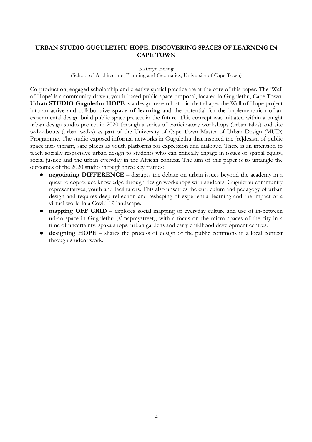# **URBAN STUDIO GUGULETHU HOPE. DISCOVERING SPACES OF LEARNING IN CAPE TOWN**

Kathryn Ewing

(School of Architecture, Planning and Geomatics, University of Cape Town)

Co-production, engaged scholarship and creative spatial practice are at the core of this paper. The 'Wall of Hope' is a community-driven, youth-based public space proposal, located in Gugulethu, Cape Town. **Urban STUDIO Gugulethu HOPE** is a design-research studio that shapes the Wall of Hope project into an active and collaborative **space of learning** and the potential for the implementation of an experimental design-build public space project in the future. This concept was initiated within a taught urban design studio project in 2020 through a series of participatory workshops (urban talks) and site walk-abouts (urban walks) as part of the University of Cape Town Master of Urban Design (MUD) Programme. The studio exposed informal networks in Gugulethu that inspired the [re]design of public space into vibrant, safe places as youth platforms for expression and dialogue. There is an intention to teach socially responsive urban design to students who can critically engage in issues of spatial equity, social justice and the urban everyday in the African context. The aim of this paper is to untangle the outcomes of the 2020 studio through three key frames:

- **negotiating DIFFERENCE** disrupts the debate on urban issues beyond the academy in a quest to coproduce knowledge through design workshops with students, Gugulethu community representatives, youth and facilitators. This also unsettles the curriculum and pedagogy of urban design and requires deep reflection and reshaping of experiential learning and the impact of a virtual world in a Covid-19 landscape.
- ! **mapping OFF GRID** explores social mapping of everyday culture and use of in-between urban space in Gugulethu (#mapmystreet), with a focus on the micro-spaces of the city in a time of uncertainty: spaza shops, urban gardens and early childhood development centres.
- ! **designing HOPE** shares the process of design of the public commons in a local context through student work.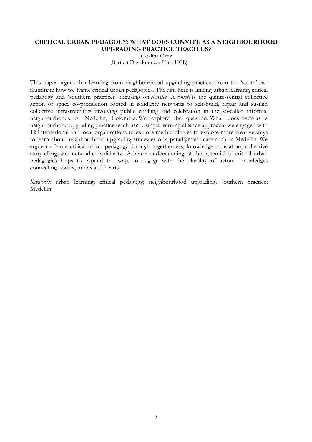# **CRITICAL URBAN PEDAGOGY: WHAT DOES CONVITE AS A NEIGHBOURHOOD UPGRADING PRACTICE TEACH US?**

Catalina Ortiz (Bartlett Development Unit, UCL)

This paper argues that learning from neighbourhood upgrading practices from the 'south' can illuminate how we frame critical urban pedagogies. The aim here is linking urban learning, critical pedagogy and 'southern practices' focusing on *convites*. A *convite* is the quintessential collective action of space co-production rooted in solidarity networks to self-build, repair and sustain collective infrastructures involving public cooking and celebration in the so-called informal neighbourhoods of Medellin, Colombia. We explore the question: What does *convite* as a neighbourhood upgrading practice teach us? Using a learning alliance approach, we engaged with 12 international and local organisations to explore methodologies to explore more creative ways to learn about neighbourhood upgrading strategies of a paradigmatic case such as Medellin. We argue to frame critical urban pedagogy through togetherness, knowledge translation, collective storytelling, and networked solidarity. A better understanding of the potential of critical urban pedagogies helps to expand the ways to engage with the plurality of actors' knowledges connecting bodies, minds and hearts.

*Keywords:* urban learning; critical pedagogy; neighbourhood upgrading; southern practice; Medellin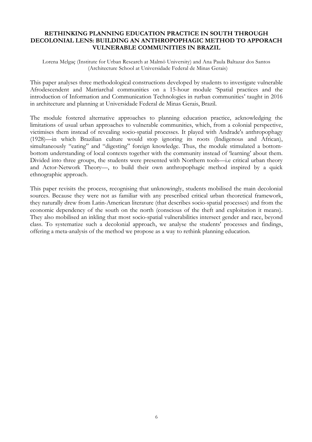# **RETHINKING PLANNING EDUCATION PRACTICE IN SOUTH THROUGH DECOLONIAL LENS: BUILDING AN ANTHROPOPHAGIC METHOD TO APPORACH VULNERABLE COMMUNITIES IN BRAZIL**

Lorena Melgaç (Institute for Urban Research at Malmö University) and Ana Paula Baltazar dos Santos (Architecture School at Universidade Federal de Minas Gerais)

This paper analyses three methodological constructions developed by students to investigate vulnerable Afrodescendent and Matriarchal communities on a 15-hour module 'Spatial practices and the introduction of Information and Communication Technologies in rurban communities' taught in 2016 in architecture and planning at Universidade Federal de Minas Gerais, Brazil.

The module fostered alternative approaches to planning education practice, acknowledging the limitations of usual urban approaches to vulnerable communities, which, from a colonial perspective, victimises them instead of revealing socio-spatial processes. It played with Andrade's anthropophagy (1928)—in which Brazilian culture would stop ignoring its roots (Indigenous and African), simultaneously "eating" and "digesting" foreign knowledge. Thus, the module stimulated a bottombottom understanding of local contexts together with the community instead of 'learning' about them. Divided into three groups, the students were presented with Northern tools—i.e critical urban theory and Actor-Network Theory—, to build their own anthropophagic method inspired by a quick ethnographic approach.

This paper revisits the process, recognising that unknowingly, students mobilised the main decolonial sources. Because they were not as familiar with any prescribed critical urban theoretical framework, they naturally drew from Latin-American literature (that describes socio-spatial processes) and from the economic dependency of the south on the north (conscious of the theft and exploitation it means). They also mobilised an inkling that most socio-spatial vulnerabilities intersect gender and race, beyond class. To systematize such a decolonial approach, we analyse the students' processes and findings, offering a meta-analysis of the method we propose as a way to rethink planning education.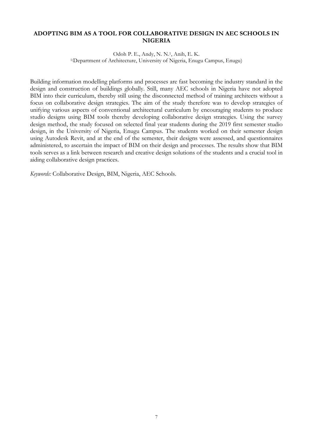# **ADOPTING BIM AS A TOOL FOR COLLABORATIVE DESIGN IN AEC SCHOOLS IN NIGERIA**

Odoh P. E., Andy, N. N.1, Anih, E. K. 1(Department of Architecture, University of Nigeria, Enugu Campus, Enugu)

Building information modelling platforms and processes are fast becoming the industry standard in the design and construction of buildings globally. Still, many AEC schools in Nigeria have not adopted BIM into their curriculum, thereby still using the disconnected method of training architects without a focus on collaborative design strategies. The aim of the study therefore was to develop strategies of unifying various aspects of conventional architectural curriculum by encouraging students to produce studio designs using BIM tools thereby developing collaborative design strategies. Using the survey design method, the study focused on selected final year students during the 2019 first semester studio design, in the University of Nigeria, Enugu Campus. The students worked on their semester design using Autodesk Revit, and at the end of the semester, their designs were assessed, and questionnaires administered, to ascertain the impact of BIM on their design and processes. The results show that BIM tools serves as a link between research and creative design solutions of the students and a crucial tool in aiding collaborative design practices.

*Keywords:* Collaborative Design, BIM, Nigeria, AEC Schools.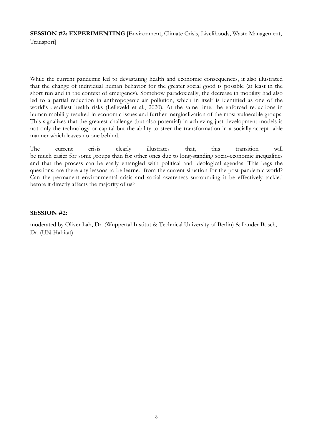**SESSION #2: EXPERIMENTING** [Environment, Climate Crisis, Livelihoods, Waste Management, Transport]

While the current pandemic led to devastating health and economic consequences, it also illustrated that the change of individual human behavior for the greater social good is possible (at least in the short run and in the context of emergency). Somehow paradoxically, the decrease in mobility had also led to a partial reduction in anthropogenic air pollution, which in itself is identified as one of the world's deadliest health risks (Lelieveld et al., 2020). At the same time, the enforced reductions in human mobility resulted in economic issues and further marginalization of the most vulnerable groups. This signalizes that the greatest challenge (but also potential) in achieving just development models is not only the technology or capital but the ability to steer the transformation in a socially accept- able manner which leaves no one behind.

The current crisis clearly illustrates that, this transition will be much easier for some groups than for other ones due to long-standing socio-economic inequalities and that the process can be easily entangled with political and ideological agendas. This begs the questions: are there any lessons to be learned from the current situation for the post-pandemic world? Can the permanent environmental crisis and social awareness surrounding it be effectively tackled before it directly affects the majority of us?

# **SESSION #2:**

moderated by Oliver Lah, Dr. (Wuppertal Institut & Technical University of Berlin) & Lander Bosch, Dr. (UN-Habitat)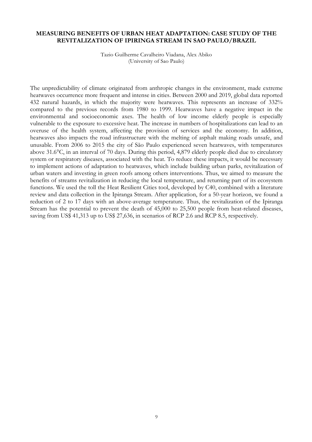# **MEASURING BENEFITS OF URBAN HEAT ADAPTATION: CASE STUDY OF THE REVITALIZATION OF IPIRINGA STREAM IN SAO PAULO/BRAZIL**

Tazio Guilherme Cavalheiro Viadana, Alex Abiko (University of Sao Paulo)

The unpredictability of climate originated from anthropic changes in the environment, made extreme heatwaves occurrence more frequent and intense in cities. Between 2000 and 2019, global data reported 432 natural hazards, in which the majority were heatwaves. This represents an increase of 332% compared to the previous records from 1980 to 1999. Heatwaves have a negative impact in the environmental and socioeconomic axes. The health of low income elderly people is especially vulnerable to the exposure to excessive heat. The increase in numbers of hospitalizations can lead to an overuse of the health system, affecting the provision of services and the economy. In addition, heatwaves also impacts the road infrastructure with the melting of asphalt making roads unsafe, and unusable. From 2006 to 2015 the city of São Paulo experienced seven heatwaves, with temperatures above 31.6°C, in an interval of 70 days. During this period, 4,879 elderly people died due to circulatory system or respiratory diseases, associated with the heat. To reduce these impacts, it would be necessary to implement actions of adaptation to heatwaves, which include building urban parks, revitalization of urban waters and investing in green roofs among others interventions. Thus, we aimed to measure the benefits of streams revitalization in reducing the local temperature, and returning part of its ecosystem functions. We used the toll the Heat Resilient Cities tool, developed by C40, combined with a literature review and data collection in the Ipiranga Stream. After application, for a 50-year horizon, we found a reduction of 2 to 17 days with an above-average temperature. Thus, the revitalization of the Ipiranga Stream has the potential to prevent the death of 45,000 to 25,500 people from heat-related diseases, saving from US\$ 41,313 up to US\$ 27,636, in scenarios of RCP 2.6 and RCP 8.5, respectively.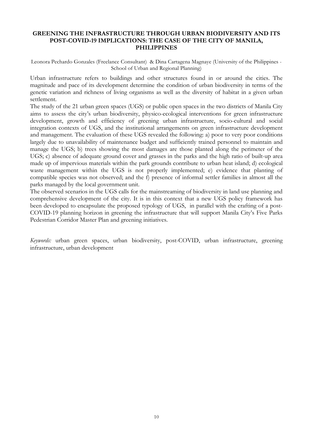# **GREENING THE INFRASTRUCTURE THROUGH URBAN BIODIVERSITY AND ITS POST-COVID-19 IMPLICATIONS: THE CASE OF THE CITY OF MANILA, PHILIPPINES**

Leonora Pechardo Gonzales (Freelance Consultant) & Dina Cartagena Magnaye (University of the Philippines - School of Urban and Regional Planning)

Urban infrastructure refers to buildings and other structures found in or around the cities. The magnitude and pace of its development determine the condition of urban biodiversity in terms of the genetic variation and richness of living organisms as well as the diversity of habitat in a given urban settlement.

The study of the 21 urban green spaces (UGS) or public open spaces in the two districts of Manila City aims to assess the city's urban biodiversity, physico-ecological interventions for green infrastructure development, growth and efficiency of greening urban infrastructure, socio-cultural and social integration contexts of UGS, and the institutional arrangements on green infrastructure development and management. The evaluation of these UGS revealed the following: a) poor to very poor conditions largely due to unavailability of maintenance budget and sufficiently trained personnel to maintain and manage the UGS; b) trees showing the most damages are those planted along the perimeter of the UGS; c) absence of adequate ground cover and grasses in the parks and the high ratio of built-up area made up of impervious materials within the park grounds contribute to urban heat island; d) ecological waste management within the UGS is not properly implemented; e) evidence that planting of compatible species was not observed; and the f) presence of informal settler families in almost all the parks managed by the local government unit.

The observed scenarios in the UGS calls for the mainstreaming of biodiversity in land use planning and comprehensive development of the city. It is in this context that a new UGS policy framework has been developed to encapsulate the proposed typology of UGS, in parallel with the crafting of a post-COVID-19 planning horizon in greening the infrastructure that will support Manila City's Five Parks Pedestrian Corridor Master Plan and greening initiatives.

*Keywords:* urban green spaces, urban biodiversity, post-COVID, urban infrastructure, greening infrastructure, urban development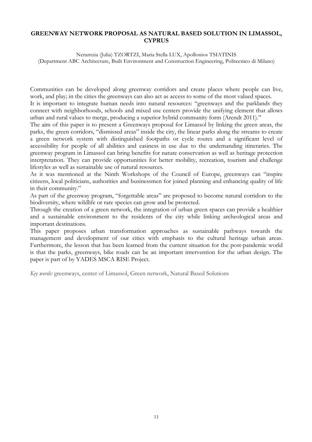# **GREENWAY NETWORK PROPOSAL AS NATURAL BASED SOLUTION IN LIMASSOL, CYPRUS**

Nerantzia (Julia) TZORTZI, Maria Stella LUX, Apollonios TSIATINIS (Department ABC Architecture, Built Environment and Construction Engineering, Politecnico di Milano)

Communities can be developed along greenway corridors and create places where people can live, work, and play; in the cities the greenways can also act as access to some of the most valued spaces.

It is important to integrate human needs into natural resources: "greenways and the parklands they connect with neighborhoods, schools and mixed use centers provide the unifying element that allows urban and rural values to merge, producing a superior hybrid community form (Arendt 2011)."

The aim of this paper is to present a Greenways proposal for Limassol by linking the green areas, the parks, the green corridors, "dismissed areas" inside the city, the linear parks along the streams to create a green network system with distinguished footpaths or cycle routes and a significant level of accessibility for people of all abilities and easiness in use due to the undemanding itineraries. The greenway program in Limassol can bring benefits for nature conservation as well as heritage protection interpretation. They can provide opportunities for better mobility, recreation, tourism and challenge lifestyles as well as sustainable use of natural resources.

As it was mentioned at the Ninth Workshops of the Council of Europe, greenways can "inspire citizens, local politicians, authorities and businessmen for joined planning and enhancing quality of life in their community."

As part of the greenway program, "forgettable areas" are proposed to become natural corridors to the biodiversity, where wildlife or rare species can grow and be protected.

Through the creation of a green network, the integration of urban green spaces can provide a healthier and a sustainable environment to the residents of the city while linking archeological areas and important destinations.

This paper proposes urban transformation approaches as sustainable pathways towards the management and development of our cities with emphasis to the cultural heritage urban areas. Furthermore, the lesson that has been learned from the current situation for the post-pandemic world is that the parks, greenways, bike roads can be an important intervention for the urban design. The paper is part of by YADES MSCA RISE Project.

*Key words:* greenways, center of Limassol, Green network, Natural Based Solutions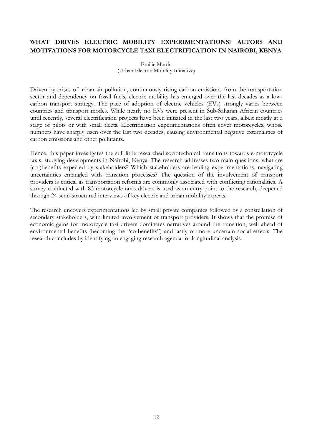# **WHAT DRIVES ELECTRIC MOBILITY EXPERIMENTATIONS? ACTORS AND MOTIVATIONS FOR MOTORCYCLE TAXI ELECTRIFICATION IN NAIROBI, KENYA**

Emilie Martin (Urban Electric Mobility Initiative)

Driven by crises of urban air pollution, continuously rising carbon emissions from the transportation sector and dependency on fossil fuels, electric mobility has emerged over the last decades as a lowcarbon transport strategy. The pace of adoption of electric vehicles (EVs) strongly varies between countries and transport modes. While nearly no EVs were present in Sub-Saharan African countries until recently, several electrification projects have been initiated in the last two years, albeit mostly at a stage of pilots or with small fleets. Electrification experimentations often cover motorcycles, whose numbers have sharply risen over the last two decades, causing environmental negative externalities of carbon emissions and other pollutants.

Hence, this paper investigates the still little researched sociotechnical transitions towards e-motorcycle taxis, studying developments in Nairobi, Kenya. The research addresses two main questions: what are (co-)benefits expected by stakeholders? Which stakeholders are leading experimentations, navigating uncertainties entangled with transition processes? The question of the involvement of transport providers is critical as transportation reforms are commonly associated with conflicting rationalities. A survey conducted with 83 motorcycle taxis drivers is used as an entry point to the research, deepened through 24 semi-structured interviews of key electric and urban mobility experts.

The research uncovers experimentations led by small private companies followed by a constellation of secondary stakeholders, with limited involvement of transport providers. It shows that the promise of economic gains for motorcycle taxi drivers dominates narratives around the transition, well ahead of environmental benefits (becoming the "co-benefits") and lastly of more uncertain social effects. The research concludes by identifying an engaging research agenda for longitudinal analysis.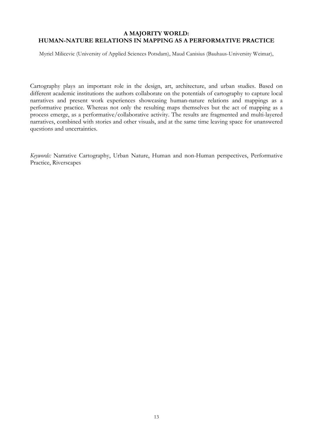# **A MAJORITY WORLD: HUMAN-NATURE RELATIONS IN MAPPING AS A PERFORMATIVE PRACTICE**

Myriel Milicevic (University of Applied Sciences Potsdam), Maud Canisius (Bauhaus-University Weimar),

Cartography plays an important role in the design, art, architecture, and urban studies. Based on different academic institutions the authors collaborate on the potentials of cartography to capture local narratives and present work experiences showcasing human-nature relations and mappings as a performative practice. Whereas not only the resulting maps themselves but the act of mapping as a process emerge, as a performative/collaborative activity. The results are fragmented and multi-layered narratives, combined with stories and other visuals, and at the same time leaving space for unanswered questions and uncertainties.

*Keywords:* Narrative Cartography, Urban Nature, Human and non-Human perspectives, Performative Practice, Riverscapes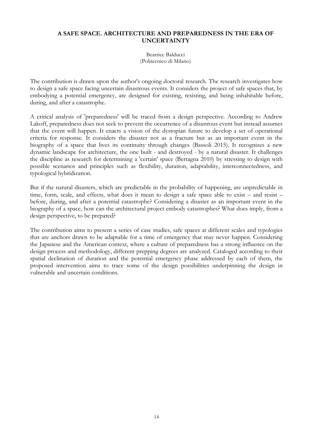# **A SAFE SPACE. ARCHITECTURE AND PREPAREDNESS IN THE ERA OF UNCERTAINTY**

Beatrice Balducci (Politecnico di Milano)

The contribution is drawn upon the author's ongoing doctoral research. The research investigates how to design a safe space facing uncertain disastrous events. It considers the project of safe spaces that, by embodying a potential emergency, are designed for existing, resisting, and being inhabitable before, during, and after a catastrophe.

A critical analysis of 'preparedness' will be traced from a design perspective. According to Andrew Lakoff, preparedness does not seek to prevent the occurrence of a disastrous event but instead assumes that the event will happen. It enacts a vision of the dystopian future to develop a set of operational criteria for response. It considers the disaster not as a fracture but as an important event in the biography of a space that lives its continuity through changes (Bassoli 2015). It recognizes a new dynamic landscape for architecture, the one built - and destroyed - by a natural disaster. It challenges the discipline as research for determining a 'certain' space (Bertagna 2010) by stressing to design with possible scenarios and principles such as flexibility, duration, adaptability, interconnectedness, and typological hybridization.

But if the natural disasters, which are predictable in the probability of happening, are unpredictable in time, form, scale, and effects, what does it mean to design a safe space able to exist – and resist – before, during, and after a potential catastrophe? Considering a disaster as an important event in the biography of a space, how can the architectural project embody catastrophes? What does imply, from a design perspective, to be prepared?

The contribution aims to present a series of case studies, safe spaces at different scales and typologies that are anchors drawn to be adaptable for a time of emergency that may never happen. Considering the Japanese and the American context, where a culture of preparedness has a strong influence on the design process and methodology, different prepping degrees are analyzed. Cataloged according to their spatial declination of duration and the potential emergency phase addressed by each of them, the proposed intervention aims to trace some of the design possibilities underpinning the design in vulnerable and uncertain conditions.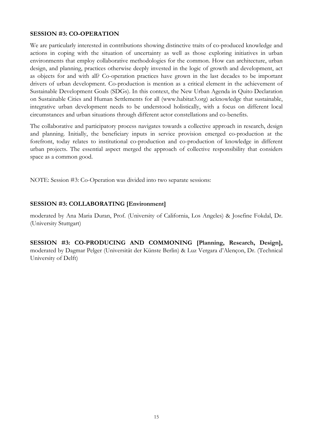# **SESSION #3: CO-OPERATION**

We are particularly interested in contributions showing distinctive traits of co-produced knowledge and actions in coping with the situation of uncertainty as well as those exploring initiatives in urban environments that employ collaborative methodologies for the common. How can architecture, urban design, and planning, practices otherwise deeply invested in the logic of growth and development, act as objects for and with all? Co-operation practices have grown in the last decades to be important drivers of urban development. Co-production is mention as a critical element in the achievement of Sustainable Development Goals (SDGs). In this context, the New Urban Agenda in Quito Declaration on Sustainable Cities and Human Settlements for all (www.habitat3.org) acknowledge that sustainable, integrative urban development needs to be understood holistically, with a focus on different local circumstances and urban situations through different actor constellations and co-benefits.

The collaborative and participatory process navigates towards a collective approach in research, design and planning. Initially, the beneficiary inputs in service provision emerged co-production at the forefront, today relates to institutional co-production and co-production of knowledge in different urban projects. The essential aspect merged the approach of collective responsibility that considers space as a common good.

NOTE: Session #3: Co-Operation was divided into two separate sessions:

# **SESSION #3: COLLABORATING [Environment]**

moderated by Ana Maria Duran, Prof. (University of California, Los Angeles) & Josefine Fokdal, Dr. (University Stuttgart)

**SESSION #3: CO-PRODUCING AND COMMONING [Planning, Research, Design],** moderated by Dagmar Pelger (Universität der Künste Berlin) & Luz Vergara d'Alençon, Dr. (Technical University of Delft)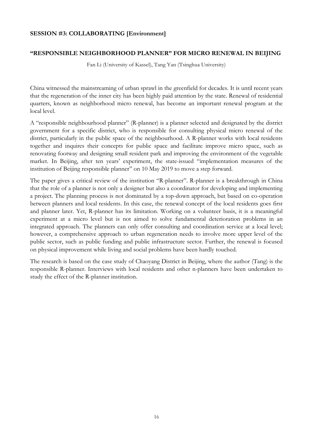# **SESSION #3: COLLABORATING [Environment]**

# **"RESPONSIBLE NEIGHBORHOOD PLANNER" FOR MICRO RENEWAL IN BEIJING**

Fan Li (University of Kassel), Tang Yan (Tsinghua University)

China witnessed the mainstreaming of urban sprawl in the greenfield for decades. It is until recent years that the regeneration of the inner city has been highly paid attention by the state. Renewal of residential quarters, known as neighborhood micro renewal, has become an important renewal program at the local level.

A "responsible neighbourhood planner" (R-planner) is a planner selected and designated by the district government for a specific district, who is responsible for consulting physical micro renewal of the district, particularly in the public space of the neighbourhood. A R-planner works with local residents together and inquires their concepts for public space and facilitate improve micro space, such as renovating footway and designing small resident park and improving the environment of the vegetable market. In Beijing, after ten years' experiment, the state-issued "implementation measures of the institution of Beijing responsible planner" on 10 May 2019 to move a step forward.

The paper gives a critical review of the institution "R-planner". R-planner is a breakthrough in China that the role of a planner is not only a designer but also a coordinator for developing and implementing a project. The planning process is not dominated by a top-down approach, but based on co-operation between planners and local residents. In this case, the renewal concept of the local residents goes first and planner later. Yet, R-planner has its limitation. Working on a volunteer basis, it is a meaningful experiment at a micro level but is not aimed to solve fundamental deterioration problems in an integrated approach. The planners can only offer consulting and coordination service at a local level; however, a comprehensive approach to urban regeneration needs to involve more upper level of the public sector, such as public funding and public infrastructure sector. Further, the renewal is focused on physical improvement while living and social problems have been hardly touched.

The research is based on the case study of Chaoyang District in Beijing, where the author (Tang) is the responsible R-planner. Interviews with local residents and other n-planners have been undertaken to study the effect of the R-planner institution.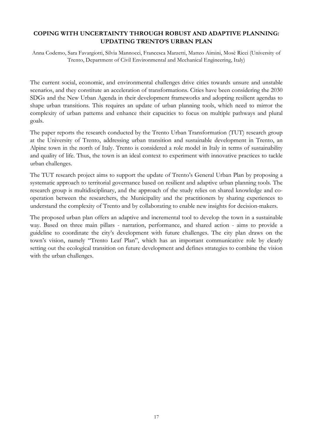# **COPING WITH UNCERTAINTY THROUGH ROBUST AND ADAPTIVE PLANNING: UPDATING TRENTO'S URBAN PLAN**

Anna Codemo, Sara Favargiotti, Silvia Mannocci, Francesca Marzetti, Matteo Aimini, Mosè Ricci (University of Trento, Department of Civil Environmental and Mechanical Engineering, Italy)

The current social, economic, and environmental challenges drive cities towards unsure and unstable scenarios, and they constitute an acceleration of transformations. Cities have been considering the 2030 SDGs and the New Urban Agenda in their development frameworks and adopting resilient agendas to shape urban transitions. This requires an update of urban planning tools, which need to mirror the complexity of urban patterns and enhance their capacities to focus on multiple pathways and plural goals.

The paper reports the research conducted by the Trento Urban Transformation (TUT) research group at the University of Trento, addressing urban transition and sustainable development in Trento, an Alpine town in the north of Italy. Trento is considered a role model in Italy in terms of sustainability and quality of life. Thus, the town is an ideal context to experiment with innovative practices to tackle urban challenges.

The TUT research project aims to support the update of Trento's General Urban Plan by proposing a systematic approach to territorial governance based on resilient and adaptive urban planning tools. The research group is multidisciplinary, and the approach of the study relies on shared knowledge and cooperation between the researchers, the Municipality and the practitioners by sharing experiences to understand the complexity of Trento and by collaborating to enable new insights for decision-makers.

The proposed urban plan offers an adaptive and incremental tool to develop the town in a sustainable way. Based on three main pillars - narration, performance, and shared action - aims to provide a guideline to coordinate the city's development with future challenges. The city plan draws on the town's vision, namely "Trento Leaf Plan", which has an important communicative role by clearly setting out the ecological transition on future development and defines strategies to combine the vision with the urban challenges.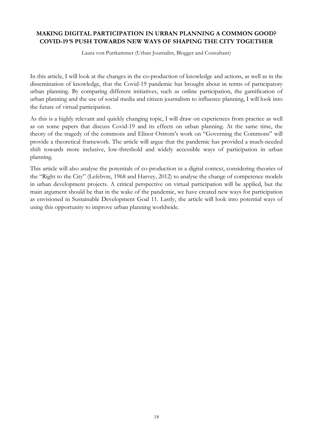# **MAKING DIGITAL PARTICIPATION IN URBAN PLANNING A COMMON GOOD? COVID-19***'***S PUSH TOWARDS NEW WAYS OF SHAPING THE CITY TOGETHER**

Laura von Puttkammer (Urban Journalist, Blogger and Consultant)

In this article, I will look at the changes in the co-production of knowledge and actions, as well as in the dissemination of knowledge, that the Covid-19 pandemic has brought about in terms of participatory urban planning. By comparing different initiatives, such as online participation, the gamification of urban planning and the use of social media and citizen journalism to influence planning, I will look into the future of virtual participation.

As this is a highly relevant and quickly changing topic, I will draw on experiences from practice as well as on some papers that discuss Covid-19 and its effects on urban planning. At the same time, the theory of the tragedy of the commons and Elinor Ostrom's work on "Governing the Commons" will provide a theoretical framework. The article will argue that the pandemic has provided a much-needed shift towards more inclusive, low-threshold and widely accessible ways of participation in urban planning.

This article will also analyse the potentials of co-production in a digital context, considering theories of the "Right to the City" (Lefebvre, 1968 and Harvey, 2012) to analyse the change of competence models in urban development projects. A critical perspective on virtual participation will be applied, but the main argument should be that in the wake of the pandemic, we have created new ways for participation as envisioned in Sustainable Development Goal 11. Lastly, the article will look into potential ways of using this opportunity to improve urban planning worldwide.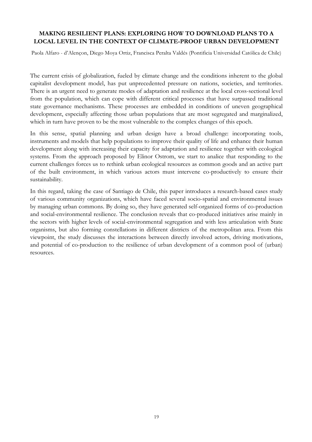# **MAKING RESILIENT PLANS: EXPLORING HOW TO DOWNLOAD PLANS TO A LOCAL LEVEL IN THE CONTEXT OF CLIMATE-PROOF URBAN DEVELOPMENT**

Paola Alfaro - d'Alençon, Diego Moya Ortiz, Francisca Peralta Valdés (Pontificia Universidad Católica de Chile)

The current crisis of globalization, fueled by climate change and the conditions inherent to the global capitalist development model, has put unprecedented pressure on nations, societies, and territories. There is an urgent need to generate modes of adaptation and resilience at the local cross-sectional level from the population, which can cope with different critical processes that have surpassed traditional state governance mechanisms. These processes are embedded in conditions of uneven geographical development, especially affecting those urban populations that are most segregated and marginalized, which in turn have proven to be the most vulnerable to the complex changes of this epoch.

In this sense, spatial planning and urban design have a broad challenge: incorporating tools, instruments and models that help populations to improve their quality of life and enhance their human development along with increasing their capacity for adaptation and resilience together with ecological systems. From the approach proposed by Elinor Ostrom, we start to analice that responding to the current challenges forces us to rethink urban ecological resources as common goods and an active part of the built environment, in which various actors must intervene co-productively to ensure their sustainability.

In this regard, taking the case of Santiago de Chile, this paper introduces a research-based cases study of various community organizations, which have faced several socio-spatial and environmental issues by managing urban commons. By doing so, they have generated self-organized forms of co-production and social-environmental resilience. The conclusion reveals that co-produced initiatives arise mainly in the sectors with higher levels of social-environmental segregation and with less articulation with State organisms, but also forming constellations in different districts of the metropolitan area. From this viewpoint, the study discusses the interactions between directly involved actors, driving motivations, and potential of co-production to the resilience of urban development of a common pool of (urban) resources.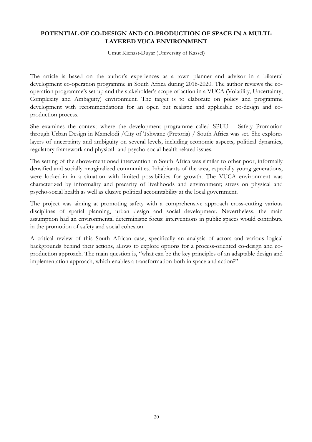# **POTENTIAL OF CO-DESIGN AND CO-PRODUCTION OF SPACE IN A MULTI-LAYERED VUCA ENVIRONMENT**

Umut Kienast-Duyar (University of Kassel)

The article is based on the author's experiences as a town planner and advisor in a bilateral development co-operation programme in South Africa during 2016-2020. The author reviews the cooperation programme's set-up and the stakeholder's scope of action in a VUCA (Volatility, Uncertainty, Complexity and Ambiguity) environment. The target is to elaborate on policy and programme development with recommendations for an open but realistic and applicable co-design and coproduction process.

She examines the context where the development programme called SPUU – Safety Promotion through Urban Design in Mamelodi /City of Tshwane (Pretoria) / South Africa was set. She explores layers of uncertainty and ambiguity on several levels, including economic aspects, political dynamics, regulatory framework and physical- and psycho-social-health related issues.

The setting of the above-mentioned intervention in South Africa was similar to other poor, informally densified and socially marginalized communities. Inhabitants of the area, especially young generations, were locked-in in a situation with limited possibilities for growth. The VUCA environment was characterized by informality and precarity of livelihoods and environment; stress on physical and psycho-social health as well as elusive political accountability at the local government.

The project was aiming at promoting safety with a comprehensive approach cross-cutting various disciplines of spatial planning, urban design and social development. Nevertheless, the main assumption had an environmental deterministic focus: interventions in public spaces would contribute in the promotion of safety and social cohesion.

A critical review of this South African case, specifically an analysis of actors and various logical backgrounds behind their actions, allows to explore options for a process-oriented co-design and coproduction approach. The main question is, "what can be the key principles of an adaptable design and implementation approach, which enables a transformation both in space and action?"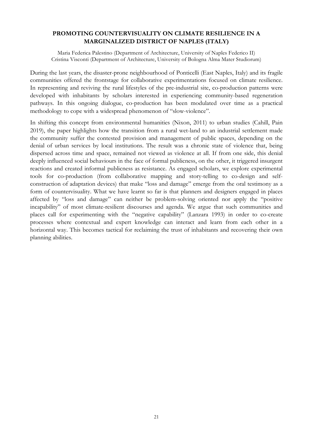# **PROMOTING COUNTERVISUALITY ON CLIMATE RESILIENCE IN A MARGINALIZED DISTRICT OF NAPLES (ITALY)**

Maria Federica Palestino (Department of Architecture, University of Naples Federico II) Cristina Visconti (Department of Architecture, University of Bologna Alma Mater Studiorum)

During the last years, the disaster-prone neighbourhood of Ponticelli (East Naples, Italy) and its fragile communities offered the frontstage for collaborative experimentations focused on climate resilience. In representing and reviving the rural lifestyles of the pre-industrial site, co-production patterns were developed with inhabitants by scholars interested in experiencing community-based regeneration pathways. In this ongoing dialogue, co-production has been modulated over time as a practical methodology to cope with a widespread phenomenon of "slow-violence".

In shifting this concept from environmental humanities (Nixon, 2011) to urban studies (Cahill, Pain 2019), the paper highlights how the transition from a rural wet-land to an industrial settlement made the community suffer the contested provision and management of public spaces, depending on the denial of urban services by local institutions. The result was a chronic state of violence that, being dispersed across time and space, remained not viewed as violence at all. If from one side, this denial deeply influenced social behaviours in the face of formal publicness, on the other, it triggered insurgent reactions and created informal publicness as resistance. As engaged scholars, we explore experimental tools for co-production (from collaborative mapping and story-telling to co-design and selfconstruction of adaptation devices) that make "loss and damage" emerge from the oral testimony as a form of countervisuality. What we have learnt so far is that planners and designers engaged in places affected by "loss and damage" can neither be problem-solving oriented nor apply the "positive incapability" of most climate-resilient discourses and agenda. We argue that such communities and places call for experimenting with the "negative capability" (Lanzara 1993) in order to co-create processes where contextual and expert knowledge can interact and learn from each other in a horizontal way. This becomes tactical for reclaiming the trust of inhabitants and recovering their own planning abilities.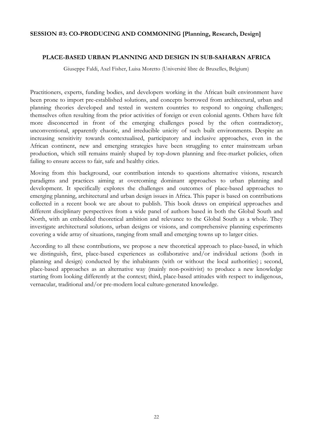# **SESSION #3: CO-PRODUCING AND COMMONING [Planning, Research, Design]**

# **PLACE-BASED URBAN PLANNING AND DESIGN IN SUB-SAHARAN AFRICA**

Giuseppe Faldi, Axel Fisher, Luisa Moretto (Université libre de Bruxelles, Belgium)

Practitioners, experts, funding bodies, and developers working in the African built environment have been prone to import pre-established solutions, and concepts borrowed from architectural, urban and planning theories developed and tested in western countries to respond to ongoing challenges; themselves often resulting from the prior activities of foreign or even colonial agents. Others have felt more disconcerted in front of the emerging challenges posed by the often contradictory, unconventional, apparently chaotic, and irreducible unicity of such built environments. Despite an increasing sensitivity towards contextualised, participatory and inclusive approaches, even in the African continent, new and emerging strategies have been struggling to enter mainstream urban production, which still remains mainly shaped by top-down planning and free-market policies, often failing to ensure access to fair, safe and healthy cities.

Moving from this background, our contribution intends to questions alternative visions, research paradigms and practices aiming at overcoming dominant approaches to urban planning and development. It specifically explores the challenges and outcomes of place-based approaches to emerging planning, architectural and urban design issues in Africa. This paper is based on contributions collected in a recent book we are about to publish. This book draws on empirical approaches and different disciplinary perspectives from a wide panel of authors based in both the Global South and North, with an embedded theoretical ambition and relevance to the Global South as a whole. They investigate architectural solutions, urban designs or visions, and comprehensive planning experiments covering a wide array of situations, ranging from small and emerging towns up to larger cities.

According to all these contributions, we propose a new theoretical approach to place-based, in which we distinguish, first, place-based experiences as collaborative and/or individual actions (both in planning and design) conducted by the inhabitants (with or without the local authorities) ; second, place-based approaches as an alternative way (mainly non-positivist) to produce a new knowledge starting from looking differently at the context; third, place-based attitudes with respect to indigenous, vernacular, traditional and/or pre-modern local culture-generated knowledge.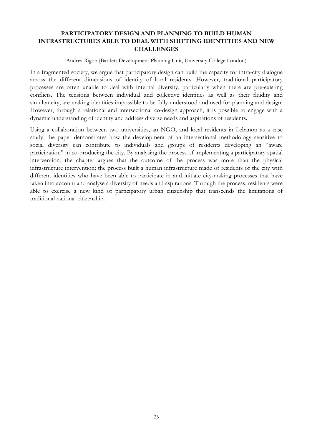# **PARTICIPATORY DESIGN AND PLANNING TO BUILD HUMAN INFRASTRUCTURES ABLE TO DEAL WITH SHIFTING IDENTITIES AND NEW CHALLENGES**

Andrea Rigon (Bartlett Development Planning Unit, University College London)

In a fragmented society, we argue that participatory design can build the capacity for intra-city dialogue across the different dimensions of identity of local residents. However, traditional participatory processes are often unable to deal with internal diversity, particularly when there are pre-existing conflicts. The tensions between individual and collective identities as well as their fluidity and simultaneity, are making identities impossible to be fully understood and used for planning and design. However, through a relational and intersectional co-design approach, it is possible to engage with a dynamic understanding of identity and address diverse needs and aspirations of residents.

Using a collaboration between two universities, an NGO, and local residents in Lebanon as a case study, the paper demonstrates how the development of an intersectional methodology sensitive to social diversity can contribute to individuals and groups of residents developing an "aware participation" in co-producing the city. By analysing the process of implementing a participatory spatial intervention, the chapter argues that the outcome of the process was more than the physical infrastructure intervention; the process built a human infrastructure made of residents of the city with different identities who have been able to participate in and initiate city-making processes that have taken into account and analyse a diversity of needs and aspirations. Through the process, residents were able to exercise a new kind of participatory urban citizenship that transcends the limitations of traditional national citizenship.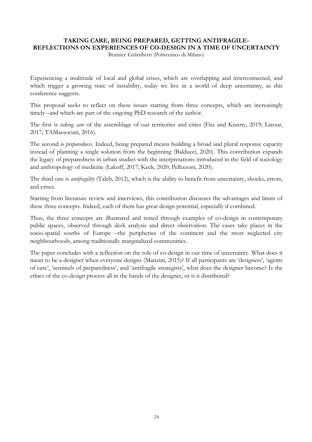#### **TAKING CARE, BEING PREPARED, GETTING ANTIFRAGILE-REFLECTIONS ON EXPERIENCES OF CO-DESIGN IN A TIME OF UNCERTAINTY**

Beatrice Galimberti (Politecnico di Milano)

Experiencing a multitude of local and global crises, which are overlapping and interconnected, and which trigger a growing state of instability, today we live in a world of deep uncertainty, as this conference suggests.

This proposal seeks to reflect on these issues starting from three concepts, which are increasingly timely –and which are part of the ongoing PhD research of the author.

The first is *taking care* of the assemblage of our territories and cities (Fitz and Krasny, 2019; Latour, 2017; TAMassociati, 2016).

The second is *preparedness*. Indeed, being prepared means building a broad and plural response capacity instead of planning a single solution from the beginning (Balducci, 2020). This contribution expands the legacy of preparedness in urban studies with the interpretations introduced in the field of sociology and anthropology of medicine (Lakoff, 2017; Keck, 2020; Pellizzoni, 2020).

The third one is *antifragility* (Taleb, 2012), which is the ability to benefit from uncertainty, shocks, errors, and crises.

Starting from literature review and interviews, this contribution discusses the advantages and limits of these three concepts. Indeed, each of them has great design potential, especially if combined.

Thus, the three concepts are illustrated and tested through examples of co-design in contemporary public spaces, observed through desk analysis and direct observation. The cases take places in the socio-spatial souths of Europe –the peripheries of the continent and the most neglected city neighbourhoods, among traditionally marginalized communities.

The paper concludes with a reflection on the role of co-design in our time of uncertainty. What does it mean to be a designer when everyone designs (Manzini, 2015)? If all participants are 'designers', 'agents of care', 'sentinels of preparedness', and 'antifragile strategists', what does the designer become? Is the ethics of the co-design process all in the hands of the designer, or is it distributed?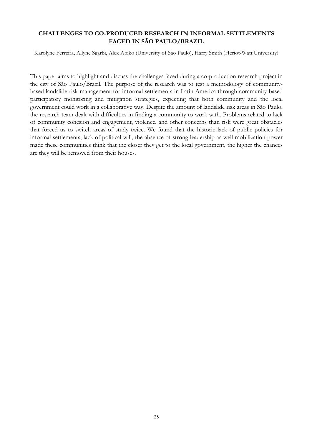# **CHALLENGES TO CO-PRODUCED RESEARCH IN INFORMAL SETTLEMENTS FACED IN SÃO PAULO/BRAZIL**

Karolyne Ferreira, Allyne Sgarbi, Alex Abiko (University of Sao Paulo), Harry Smith (Heriot-Watt University)

This paper aims to highlight and discuss the challenges faced during a co-production research project in the city of São Paulo/Brazil. The purpose of the research was to test a methodology of communitybased landslide risk management for informal settlements in Latin America through community-based participatory monitoring and mitigation strategies, expecting that both community and the local government could work in a collaborative way. Despite the amount of landslide risk areas in São Paulo, the research team dealt with difficulties in finding a community to work with. Problems related to lack of community cohesion and engagement, violence, and other concerns than risk were great obstacles that forced us to switch areas of study twice. We found that the historic lack of public policies for informal settlements, lack of political will, the absence of strong leadership as well mobilization power made these communities think that the closer they get to the local government, the higher the chances are they will be removed from their houses.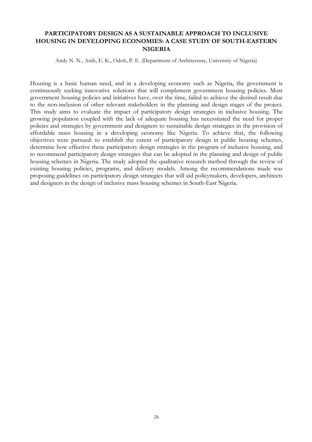# **PARTICIPATORY DESIGN AS A SUSTAINABLE APPROACH TO INCLUSIVE HOUSING IN DEVELOPING ECONOMIES: A CASE STUDY OF SOUTH-EASTERN NIGERIA**

Andy N. N., Anih, E. K., Odoh, P. E. (Department of Architecture, University of Nigeria)

Housing is a basic human need, and in a developing economy such as Nigeria, the government is continuously seeking innovative solutions that will complement government housing policies. Most government housing policies and initiatives have, over the time, failed to achieve the desired result due to the non-inclusion of other relevant stakeholders in the planning and design stages of the project. This study aims to evaluate the impact of participatory design strategies in inclusive housing. The growing population coupled with the lack of adequate housing has necessitated the need for proper policies and strategies by government and designers to sustainable design strategies in the provision of affordable mass housing in a developing economy like Nigeria. To achieve that, the following objectives were pursued: to establish the extent of participatory design in public housing schemes, determine how effective these participatory design strategies in the program of inclusive housing, and to recommend participatory design strategies that can be adopted in the planning and design of public housing schemes in Nigeria. The study adopted the qualitative research method through the review of existing housing policies, programs, and delivery models. Among the recommendations made was proposing guidelines on participatory design strategies that will aid policymakers, developers, architects and designers in the design of inclusive mass housing schemes in South-East Nigeria.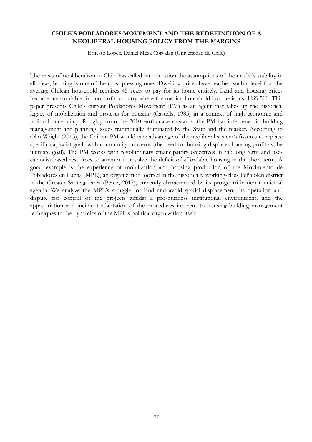# **CHILE'S POBLADORES MOVEMENT AND THE REDEFINITION OF A NEOLIBERAL HOUSING POLICY FROM THE MARGINS**

Ernesto Lopez, Daniel Meza Corvalan (Universidad de Chile)

The crisis of neoliberalism in Chile has called into question the assumptions of the model's stability in all areas; housing is one of the most pressing ones. Dwelling prices have reached such a level that the average Chilean household requires 45 years to pay for its home entirely. Land and housing prices become unaffordable for most of a country where the median household income is just US\$ 500. This paper presents Chile's current Pobladores Movement (PM) as an agent that takes up the historical legacy of mobilization and protests for housing (Castells, 1985) in a context of high economic and political uncertainty. Roughly from the 2010 earthquake onwards, the PM has intervened in building management and planning issues traditionally dominated by the State and the market. According to Olin Wright (2015), the Chilean PM would take advantage of the neoliberal system's fissures to replace specific capitalist goals with community concerns (the need for housing displaces housing profit as the ultimate goal). The PM works with revolutionary emancipatory objectives in the long term and uses capitalist-based resources to attempt to resolve the deficit of affordable housing in the short term. A good example is the experience of mobilization and housing production of the Movimiento de Pobladores en Lucha (MPL), an organization located in the historically working-class Peñalolén district in the Greater Santiago area (Pérez, 2017), currently characterized by its pro-gentrification municipal agenda. We analyze the MPL's struggle for land and avoid spatial displacement, its operation and dispute for control of the projects amidst a pro-business institutional environment, and the appropriation and incipient adaptation of the procedures inherent to housing building management techniques to the dynamics of the MPL's political organization itself.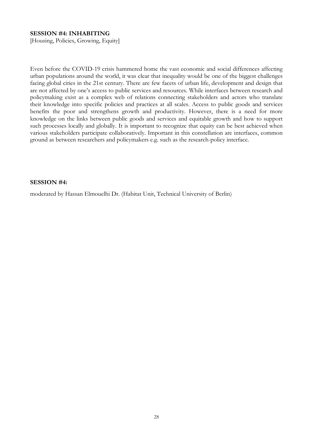# **SESSION #4: INHABITING**

[Housing, Policies, Growing, Equity]

Even before the COVID-19 crisis hammered home the vast economic and social differences affecting urban populations around the world, it was clear that inequality would be one of the biggest challenges facing global cities in the 21st century. There are few facets of urban life, development and design that are not affected by one's access to public services and resources. While interfaces between research and policymaking exist as a complex web of relations connecting stakeholders and actors who translate their knowledge into specific policies and practices at all scales. Access to public goods and services benefits the poor and strengthens growth and productivity. However, there is a need for more knowledge on the links between public goods and services and equitable growth and how to support such processes locally and globally. It is important to recognize that equity can be best achieved when various stakeholders participate collaboratively. Important in this constellation are interfaces, common ground as between researchers and policymakers e.g. such as the research-policy interface.

### **SESSION #4:**

moderated by Hassan Elmouelhi Dr. (Habitat Unit, Technical University of Berlin)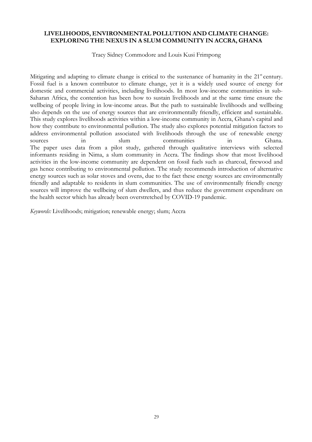# **LIVELIHOODS, ENVIRONMENTAL POLLUTION AND CLIMATE CHANGE: EXPLORING THE NEXUS IN A SLUM COMMUNITY IN ACCRA, GHANA**

Tracy Sidney Commodore and Louis Kusi Frimpong

Mitigating and adapting to climate change is critical to the sustenance of humanity in the 21<sup>st</sup> century. Fossil fuel is a known contributor to climate change, yet it is a widely used source of energy for domestic and commercial activities, including livelihoods. In most low-income communities in sub-Saharan Africa, the contention has been how to sustain livelihoods and at the same time ensure the wellbeing of people living in low-income areas. But the path to sustainable livelihoods and wellbeing also depends on the use of energy sources that are environmentally friendly, efficient and sustainable. This study explores livelihoods activities within a low-income community in Accra, Ghana's capital and how they contribute to environmental pollution. The study also explores potential mitigation factors to address environmental pollution associated with livelihoods through the use of renewable energy sources in slum communities in Ghana. The paper uses data from a pilot study, gathered through qualitative interviews with selected informants residing in Nima, a slum community in Accra. The findings show that most livelihood activities in the low-income community are dependent on fossil fuels such as charcoal, firewood and gas hence contributing to environmental pollution. The study recommends introduction of alternative energy sources such as solar stoves and ovens, due to the fact these energy sources are environmentally friendly and adaptable to residents in slum communities. The use of environmentally friendly energy sources will improve the wellbeing of slum dwellers, and thus reduce the government expenditure on the health sector which has already been overstretched by COVID-19 pandemic.

*Keywords:* Livelihoods; mitigation; renewable energy; slum; Accra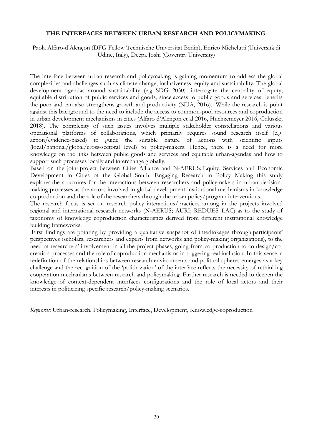### **THE INTERFACES BETWEEN URBAN RESEARCH AND POLICYMAKING**

Paola Alfaro-d'Alençon (DFG Fellow Technische Universität Berlin), Enrico Michelutti(Università di Udine, Italy), Deepa Joshi (Coventry University)

The interface between urban research and policymaking is gaining momentum to address the global complexities and challenges such as climate change, inclusiveness, equity and sustainability. The global development agendas around sustainability (e.g SDG 2030) interrogate the centrality of equity, equitable distribution of public services and goods, since access to public goods and services benefits the poor and can also strengthens growth and productivity (NUA, 2016). While the research is point against this background to the need to include the access to common-pool resources and coproduction in urban development mechanisms in cities (Alfaro d'Alençon et al 2016, Huchzemeyer 2016, Galuszka 2018). The complexity of such issues involves multiple stakeholder constellations and various operational platforms of collaborations, which primarily requires sound research itself (e.g. action/evidence-based) to guide the suitable nature of actions with scientific inputs (local/national/global/cross-sectoral level) to policy-makers. Hence, there is a need for more knowledge on the links between public goods and services and equitable urban-agendas and how to support such processes locally and interchange globally.

Based on the joint project between Cities Alliance and N-AERUS: Equity, Services and Economic Development in Cities of the Global South: Engaging Research in Policy Making this study explores the structures for the interactions between researchers and policymakers in urban decisionmaking processes as the actors involved in global development institutional mechanisms in knowledge co-production and the role of the researchers through the urban policy/program interventions.

The research focus is set on research policy interactions/practices among in the projects involved regional and international research networks (N-AERUS; AURI; REDUES\_LAC) as to the study of taxonomy of knowledge coproduction characteristics derived from different institutional knowledge building frameworks.

First findings are pointing by providing a qualitative snapshot of interlinkages through participants' perspectives (scholars, researchers and experts from networks and policy-making organizations), to the need of researchers' involvement in all the project phases, going from co-production to co-design/cocreation processes and the role of coproduction mechanisms in triggering real inclusion. In this sense, a redefinition of the relationships between research environments and political spheres emerges as a key challenge and the recognition of the 'politicization' of the interface reflects the necessity of rethinking cooperation mechanisms between research and policymaking. Further research is needed to deepen the knowledge of context-dependent interfaces configurations and the role of local actors and their interests in politicizing specific research/policy-making scenarios.

*Keywords:* Urban-research, Policymaking, Interface, Development, Knowledge-coproduction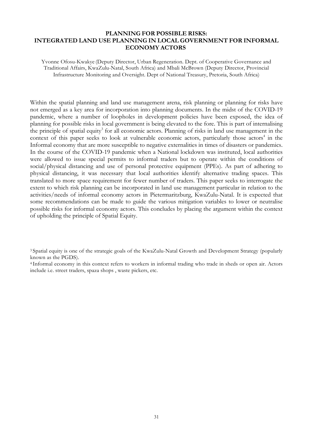# **PLANNING FOR POSSIBLE RISKS: INTEGRATED LAND USE PLANNING IN LOCAL GOVERNMENT FOR INFORMAL ECONOMY ACTORS**

Yvonne Ofosu-Kwakye (Deputy Director, Urban Regeneration. Dept. of Cooperative Governance and Traditional Affairs, KwaZulu-Natal, South Africa) and Mbali McBrown (Deputy Director, Provincial Infrastructure Monitoring and Oversight. Dept of National Treasury, Pretoria, South Africa)

Within the spatial planning and land use management arena, risk planning or planning for risks have not emerged as a key area for incorporation into planning documents. In the midst of the COVID-19 pandemic, where a number of loopholes in development policies have been exposed, the idea of planning for possible risks in local government is being elevated to the fore. This is part of internalising the principle of spatial equity<sup>3</sup> for all economic actors. Planning of risks in land use management in the context of this paper seeks to look at vulnerable economic actors, particularly those actors<sup>4</sup> in the Informal economy that are more susceptible to negative externalities in times of disasters or pandemics. In the course of the COVID-19 pandemic when a National lockdown was instituted, local authorities were allowed to issue special permits to informal traders but to operate within the conditions of social/physical distancing and use of personal protective equipment (PPEs). As part of adhering to physical distancing, it was necessary that local authorities identify alternative trading spaces. This translated to more space requirement for fewer number of traders. This paper seeks to interrogate the extent to which risk planning can be incorporated in land use management particular in relation to the activities/needs of informal economy actors in Pietermaritzburg, KwaZulu-Natal. It is expected that some recommendations can be made to guide the various mitigation variables to lower or neutralise possible risks for informal economy actors. This concludes by placing the argument within the context of upholding the principle of Spatial Equity.

<sup>3</sup> Spatial equity is one of the strategic goals of the KwaZulu-Natal Growth and Development Strategy (popularly known as the PGDS).

<sup>4</sup> Informal economy in this context refers to workers in informal trading who trade in sheds or open air. Actors include i.e. street traders, spaza shops , waste pickers, etc.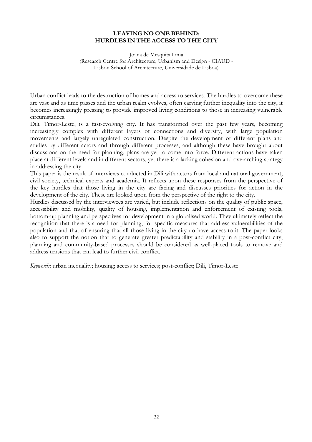# **LEAVING NO ONE BEHIND: HURDLES IN THE ACCESS TO THE CITY**

Joana de Mesquita Lima (Research Centre for Architecture, Urbanism and Design - CIAUD - Lisbon School of Architecture, Universidade de Lisboa)

Urban conflict leads to the destruction of homes and access to services. The hurdles to overcome these are vast and as time passes and the urban realm evolves, often carving further inequality into the city, it becomes increasingly pressing to provide improved living conditions to those in increasing vulnerable circumstances.

Dili, Timor-Leste, is a fast-evolving city. It has transformed over the past few years, becoming increasingly complex with different layers of connections and diversity, with large population movements and largely unregulated construction. Despite the development of different plans and studies by different actors and through different processes, and although these have brought about discussions on the need for planning, plans are yet to come into force. Different actions have taken place at different levels and in different sectors, yet there is a lacking cohesion and overarching strategy in addressing the city.

This paper is the result of interviews conducted in Dili with actors from local and national government, civil society, technical experts and academia. It reflects upon these responses from the perspective of the key hurdles that those living in the city are facing and discusses priorities for action in the development of the city. These are looked upon from the perspective of the right to the city.

Hurdles discussed by the interviewees are varied, but include reflections on the quality of public space, accessibility and mobility, quality of housing, implementation and enforcement of existing tools, bottom-up planning and perspectives for development in a globalised world. They ultimately reflect the recognition that there is a need for planning, for specific measures that address vulnerabilities of the population and that of ensuring that all those living in the city do have access to it. The paper looks also to support the notion that to generate greater predictability and stability in a post-conflict city, planning and community-based processes should be considered as well-placed tools to remove and address tensions that can lead to further civil conflict.

*Keywords*: urban inequality; housing; access to services; post-conflict; Dili, Timor-Leste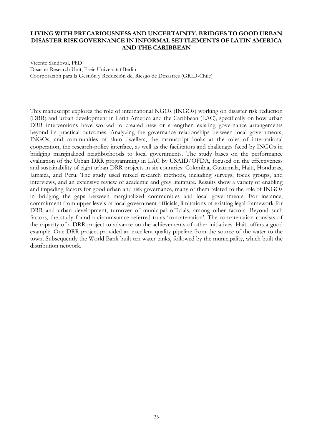# **LIVING WITH PRECARIOUSNESS AND UNCERTAINTY. BRIDGES TO GOOD URBAN DISASTER RISK GOVERNANCE IN INFORMAL SETTLEMENTS OF LATIN AMERICA AND THE CARIBBEAN**

Vicente Sandoval, PhD Disaster Research Unit, Freie Universität Berlin Coorporación para la Gestión y Reducción del Riesgo de Desastres (GRID-Chile)

This manuscript explores the role of international NGOs (INGOs) working on disaster risk reduction (DRR) and urban development in Latin America and the Caribbean (LAC), specifically on how urban DRR interventions have worked to created new or strengthen existing governance arrangements beyond its practical outcomes. Analyzing the governance relationships between local governments, INGOs, and communities of slum dwellers, the manuscript looks at the roles of international cooperation, the research-policy interface, as well as the facilitators and challenges faced by INGOs in bridging marginalized neighborhoods to local governments. The study bases on the performance evaluation of the Urban DRR programming in LAC by USAID/OFDA, focused on the effectiveness and sustainability of eight urban DRR projects in six countries: Colombia, Guatemala, Haiti, Honduras, Jamaica, and Peru. The study used mixed research methods, including surveys, focus groups, and interviews, and an extensive review of academic and grey literature. Results show a variety of enabling and impeding factors for good urban and risk governance, many of them related to the role of INGOs in bridging the gaps between marginalized communities and local governments. For instance, commitment from upper levels of local government officials, limitations of existing legal framework for DRR and urban development, turnover of municipal officials, among other factors. Beyond such factors, the study found a circumstance referred to as 'concatenation'. The concatenation consists of the capacity of a DRR project to advance on the achievements of other initiatives. Haiti offers a good example. One DRR project provided an excellent quality pipeline from the source of the water to the town. Subsequently the World Bank built ten water tanks, followed by the municipality, which built the distribution network.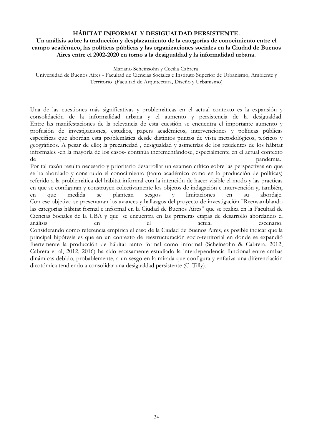### **HÁBITAT INFORMAL Y DESIGUALDAD PERSISTENTE.**

# **Un análisis sobre la traducción y desplazamiento de la categorías de conocimiento entre el campo académico, las políticas públicas y las organizaciones sociales en la Ciudad de Buenos Aires entre el 2002-2020 en torno a la desigualdad y la informalidad urbana.**

Mariano Scheinsohn y Cecilia Cabrera

Universidad de Buenos Aires - Facultad de Ciencias Sociales e Instituto Superior de Urbanismo, Ambiente y Territorio (Facultad de Arquitectura, Diseño y Urbanismo)

Una de las cuestiones más significativas y problemáticas en el actual contexto es la expansión y consolidación de la informalidad urbana y el aumento y persistencia de la desigualdad. Entre las manifestaciones de la relevancia de esta cuestión se encuentra el importante aumento y profusión de investigaciones, estudios, papers académicos, intervenciones y políticas públicas específicas que abordan esta problemática desde distintos puntos de vista metodológicos, teóricos y geográficos. A pesar de ello; la precariedad , desigualdad y asimetrías de los residentes de los hábitat informales -en la mayoría de los casos- continúa incrementándose, especialmente en el actual contexto de *pandemia*.

Por tal razón resulta necesario y prioritario desarrollar un examen crítico sobre las perspectivas en que se ha abordado y construido el conocimiento (tanto académico como en la producción de políticas) referido a la problemática del hábitat informal con la intención de hacer visible el modo y las practicas en que se configuran y construyen colectivamente los objetos de indagación e intervención y, también, en que medida se plantean sesgos y limitaciones en su abordaje. Con ese objetivo se presentaran los avances y hallazgos del proyecto de investigación "Reensamblando las categorías hábitat formal e informal en la Ciudad de Buenos Aires" que se realiza en la Facultad de Ciencias Sociales de la UBA y que se encuentra en las primeras etapas de desarrollo abordando el análisis en el actual escenario. Considerando como referencia empírica el caso de la Ciudad de Buenos Aires, es posible indicar que la principal hipótesis es que en un contexto de reestructuración socio-territorial en donde se expandió fuertemente la producción de hábitat tanto formal como informal (Scheinsohn & Cabrera, 2012, Cabrera et al, 2012, 2016) ha sido escasamente estudiado la interdependencia funcional entre ambas dinámicas debido, probablemente, a un sesgo en la mirada que configura y enfatiza una diferenciación dicotómica tendiendo a consolidar una desigualdad persistente (C. Tilly).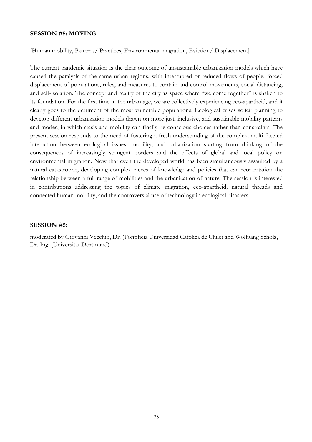#### **SESSION #5: MOVING**

[Human mobility, Patterns/ Practices, Environmental migration, Eviction/ Displacement]

The current pandemic situation is the clear outcome of unsustainable urbanization models which have caused the paralysis of the same urban regions, with interrupted or reduced flows of people, forced displacement of populations, rules, and measures to contain and control movements, social distancing, and self-isolation. The concept and reality of the city as space where "we come together" is shaken to its foundation. For the first time in the urban age, we are collectively experiencing eco-apartheid, and it clearly goes to the detriment of the most vulnerable populations. Ecological crises solicit planning to develop different urbanization models drawn on more just, inclusive, and sustainable mobility patterns and modes, in which stasis and mobility can finally be conscious choices rather than constraints. The present session responds to the need of fostering a fresh understanding of the complex, multi-faceted interaction between ecological issues, mobility, and urbanization starting from thinking of the consequences of increasingly stringent borders and the effects of global and local policy on environmental migration. Now that even the developed world has been simultaneously assaulted by a natural catastrophe, developing complex pieces of knowledge and policies that can reorientation the relationship between a full range of mobilities and the urbanization of nature. The session is interested in contributions addressing the topics of climate migration, eco-apartheid, natural threads and connected human mobility, and the controversial use of technology in ecological disasters.

# **SESSION #5:**

moderated by Giovanni Vecchio, Dr. (Pontificia Universidad Católica de Chile) and Wolfgang Scholz, Dr. Ing. (Universität Dortmund)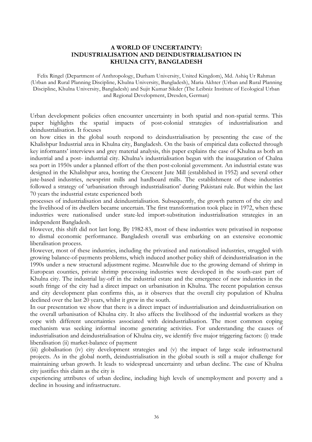### **A WORLD OF UNCERTAINTY: INDUSTRIALISATION AND DEINDUSTRIALISATION IN KHULNA CITY, BANGLADESH**

Felix Ringel (Department of Anthropology, Durham University, United Kingdom), Md. Ashiq Ur Rahman (Urban and Rural Planning Discipline, Khulna University, Bangladesh), Maria Akhter (Urban and Rural Planning Discipline, Khulna University, Bangladesh) and Sujit Kumar Sikder (The Leibniz Institute of Ecological Urban and Regional Development, Dresden, German)

Urban development policies often encounter uncertainty in both spatial and non-spatial terms. This paper highlights the spatial impacts of post-colonial strategies of industrialisation and deindustrialisation. It focuses

on how cities in the global south respond to deindustrialisation by presenting the case of the Khalishpur Industrial area in Khulna city, Bangladesh. On the basis of empirical data collected through key informants' interviews and grey material analysis, this paper explains the case of Khulna as both an industrial and a post- industrial city. Khulna's industrialisation begun with the inauguration of Chalna sea port in 1950s under a planned effort of the then post-colonial government. An industrial estate was designed in the Khalishpur area, hosting the Crescent Jute Mill (established in 1952) and several other jute-based industries, newsprint mills and hardboard mills. The establishment of these industries followed a strategy of 'urbanisation through industrialisation' during Pakistani rule. But within the last 70 years the industrial estate experienced both

processes of industrialisation and deindustrialisation. Subsequently, the growth pattern of the city and the livelihood of its dwellers became uncertain. The first transformation took place in 1972, when these industries were nationalised under state-led import-substitution industrialisation strategies in an independent Bangladesh.

However, this shift did not last long. By 1982-83, most of these industries were privatised in response to dismal economic performance. Bangladesh overall was embarking on an extensive economic liberalisation process.

However, most of these industries, including the privatised and nationalised industries, struggled with growing balance-of-payments problems, which induced another policy shift of deindustrialisation in the 1990s under a new structural adjustment regime. Meanwhile due to the growing demand of shrimp in European counties, private shrimp processing industries were developed in the south-east part of Khulna city. The industrial lay-off in the industrial estate and the emergence of new industries in the south fringe of the city had a direct impact on urbanisation in Khulna. The recent population census and city development plan confirms this, as it observes that the overall city population of Khulna declined over the last 20 years, whilst it grew in the south.

In our presentation we show that there is a direct impact of industrialisation and deindustrialisation on the overall urbanisation of Khulna city. It also affects the livelihood of the industrial workers as they cope with different uncertainties associated with deindustrialisation. The most common coping mechanism was seeking informal income generating activities. For understanding the causes of industrialisation and deindustrialisation of Khulna city, we identify five major triggering factors: (i) trade liberalisation (ii) market-balance of payment

(iii) globalisation (iv) city development strategies and (v) the impact of large scale infrastructural projects. As in the global north, deindustrialisation in the global south is still a major challenge for maintaining urban growth. It leads to widespread uncertainty and urban decline. The case of Khulna city justifies this claim as the city is

experiencing attributes of urban decline, including high levels of unemployment and poverty and a decline in housing and infrastructure.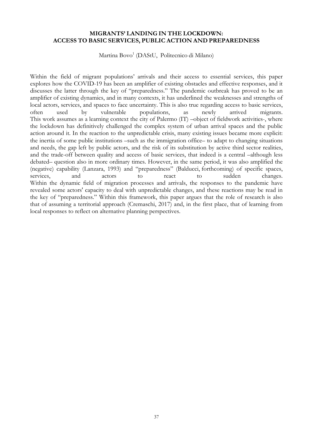# **MIGRANTS' LANDING IN THE LOCKDOWN: ACCESS TO BASIC SERVICES, PUBLIC ACTION AND PREPAREDNESS**

Martina Bovo<sup>1</sup> (DAStU, Politecnico di Milano)

Within the field of migrant populations' arrivals and their access to essential services, this paper explores how the COVID-19 has been an amplifier of existing obstacles and effective responses, and it discusses the latter through the key of "preparedness." The pandemic outbreak has proved to be an amplifier of existing dynamics, and in many contexts, it has underlined the weaknesses and strengths of local actors, services, and spaces to face uncertainty. This is also true regarding access to basic services, often used by vulnerable populations, as newly arrived migrants. This work assumes as a learning context the city of Palermo (IT) –object of fieldwork activities-, where the lockdown has definitively challenged the complex system of urban arrival spaces and the public action around it. In the reaction to the unpredictable crisis, many existing issues became more explicit: the inertia of some public institutions –such as the immigration office– to adapt to changing situations and needs, the gap left by public actors, and the risk of its substitution by active third sector realities, and the trade-off between quality and access of basic services, that indeed is a central –although less debated– question also in more ordinary times. However, in the same period, it was also amplified the (negative) capability (Lanzara, 1993) and "preparedness" (Balducci, forthcoming) of specific spaces, services, and actors to react to sudden changes. Within the dynamic field of migration processes and arrivals, the responses to the pandemic have revealed some actors' capacity to deal with unpredictable changes, and these reactions may be read in the key of "preparedness." Within this framework, this paper argues that the role of research is also that of assuming a territorial approach (Cremaschi, 2017) and, in the first place, that of learning from local responses to reflect on alternative planning perspectives.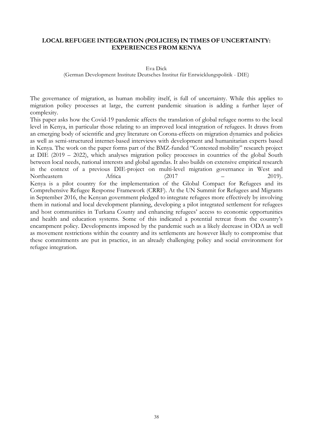### **LOCAL REFUGEE INTEGRATION (POLICIES)IN TIMES OF UNCERTAINTY: EXPERIENCES FROM KENYA**

#### Eva Dick

(German Development Institute Deutsches Institut für Entwicklungspolitik - DIE)

The governance of migration, as human mobility itself, is full of uncertainty. While this applies to migration policy processes at large, the current pandemic situation is adding a further layer of complexity.

This paper asks how the Covid-19 pandemic affects the translation of global refugee norms to the local level in Kenya, in particular those relating to an improved local integration of refugees. It draws from an emerging body of scientific and grey literature on Corona-effects on migration dynamics and policies as well as semi-structured internet-based interviews with development and humanitarian experts based in Kenya. The work on the paper forms part of the BMZ-funded "Contested mobility" research project at DIE (2019 – 2022), which analyses migration policy processes in countries of the global South between local needs, national interests and global agendas. It also builds on extensive empirical research in the context of a previous DIE-project on multi-level migration governance in West and Northeastern Africa (2017 – 2019). Kenya is a pilot country for the implementation of the Global Compact for Refugees and its Comprehensive Refugee Response Framework (CRRF). At the UN Summit for Refugees and Migrants in September 2016, the Kenyan government pledged to integrate refugees more effectively by involving them in national and local development planning, developing a pilot integrated settlement for refugees and host communities in Turkana County and enhancing refugees' access to economic opportunities and health and education systems. Some of this indicated a potential retreat from the country's encampment policy. Developments imposed by the pandemic such as a likely decrease in ODA as well as movement restrictions within the country and its settlements are however likely to compromise that these commitments are put in practice, in an already challenging policy and social environment for refugee integration.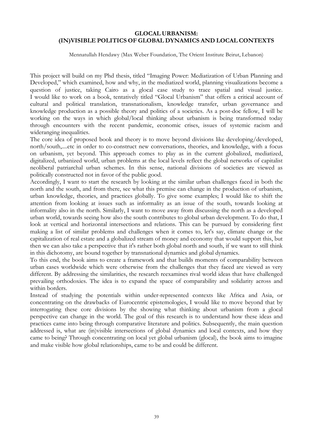# **GLOCAL URBANISM: (IN)VISIBLE POLITICS OF GLOBAL DYNAMICS AND LOCAL CONTEXTS**

Mennatullah Hendawy (Max Weber Foundation, The Orient Institute Beirut, Lebanon)

This project will build on my Phd thesis, titled "Imaging Power: Mediatization of Urban Planning and Developed," which examined, how and why, in the mediatized world, planning visualizations become a question of justice, taking Cairo as a glocal case study to trace spatial and visual justice. I would like to work on a book, tentatively titled "Glocal Urbanism" that offers a critical account of cultural and political translation, transnationalism, knowledge transfer, urban governance and knowledge production as a possible theory and politics of a societies. As a post-doc fellow, I will be working on the ways in which global/local thinking about urbanism is being transformed today through encounters with the recent pandemic, economic crises, issues of systemic racism and wideranging inequalities.

The core idea of proposed book and theory is to move beyond divisions like developing/developed, north/south,....etc in order to co-construct new conversations, theories, and knowledge, with a focus on urbanism, yet beyond. This approach comes to play as in the current globalized, mediatized, digitalized, urbanized world, urban problems at the local levels reflect the global networks of capitalist neoliberal patriarchal urban schemes. In this sense, national divisions of societies are viewed as politically constructed not in favor of the public good.

Accordingly, I want to start the research by looking at the similar urban challenges faced in both the north and the south, and from there, see what this premise can change in the production of urbanism, urban knowledge, theories, and practices globally. To give some examples; I would like to shift the attention from looking at issues such as informality as an issue of the south, towards looking at informality also in the north. Similarly, I want to move away from discussing the north as a developed urban world, towards seeing how also the south contributes to global urban development. To do that, I look at vertical and horizontal intersections and relations. This can be pursued by considering first making a list of similar problems and challenges when it comes to, let's say, climate change or the capitalization of real estate and a globalized stream of money and economy that would support this, but then we can also take a perspective that it's rather both global north and south, if we want to still think in this dichotomy, are bound together by transnational dynamics and global dynamics.

To this end, the book aims to create a framework and that builds moments of comparability between urban cases worldwide which were otherwise from the challenges that they faced are viewed as very different. By addressing the similarities, the research reexamines rival world ideas that have challenged prevailing orthodoxies. The idea is to expand the space of comparability and solidarity across and within borders.

Instead of studying the potentials within under-represented contexts like Africa and Asia, or concentrating on the drawbacks of Eurocentric epistemologies, I would like to move beyond that by interrogating these core divisions by the showing what thinking about urbanism from a glocal perspective can change in the world. The goal of this research is to understand how these ideas and practices came into being through comparative literature and politics. Subsequently, the main question addressed is, what are (in)visible intersections of global dynamics and local contexts, and how they came to being? Through concentrating on local yet global urbanism (glocal), the book aims to imagine and make visible how global relationships, came to be and could be different.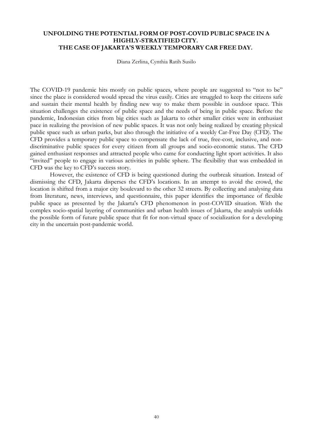# **UNFOLDING THE POTENTIAL FORM OF POST-COVID PUBLIC SPACE IN A HIGHLY-STRATIFIED CITY. THE CASE OF JAKARTA'S WEEKLY TEMPORARY CAR FREE DAY.**

Diana Zerlina, Cynthia Ratih Susilo

The COVID-19 pandemic hits mostly on public spaces, where people are suggested to "not to be" since the place is considered would spread the virus easily. Cities are struggled to keep the citizens safe and sustain their mental health by finding new way to make them possible in outdoor space. This situation challenges the existence of public space and the needs of being in public space. Before the pandemic, Indonesian cities from big cities such as Jakarta to other smaller cities were in enthusiast pace in realizing the provision of new public spaces. It was not only being realized by creating physical public space such as urban parks, but also through the initiative of a weekly Car-Free Day (CFD). The CFD provides a temporary public space to compensate the lack of true, free-cost, inclusive, and nondiscriminative public spaces for every citizen from all groups and socio-economic status. The CFD gained enthusiast responses and attracted people who came for conducting light sport activities. It also "invited" people to engage in various activities in public sphere. The flexibility that was embedded in CFD was the key to CFD's success story.

However, the existence of CFD is being questioned during the outbreak situation. Instead of dismissing the CFD, Jakarta disperses the CFD's locations. In an attempt to avoid the crowd, the location is shifted from a major city boulevard to the other 32 streets. By collecting and analysing data from literature, news, interviews, and questionnaire, this paper identifies the importance of flexible public space as presented by the Jakarta's CFD phenomenon in post-COVID situation. With the complex socio-spatial layering of communities and urban health issues of Jakarta, the analysis unfolds the possible form of future public space that fit for non-virtual space of socialization for a developing city in the uncertain post-pandemic world.